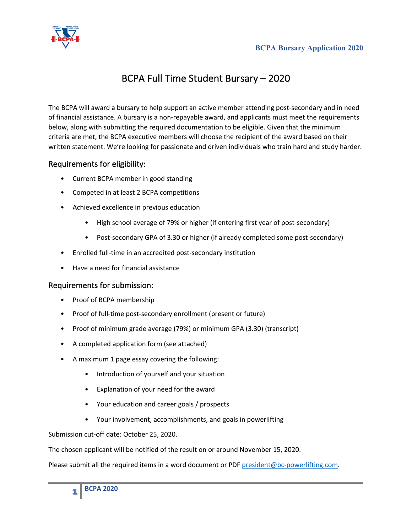

## BCPA Full Time Student Bursary – 2020

The BCPA will award a bursary to help support an active member attending post-secondary and in need of financial assistance. A bursary is a non-repayable award, and applicants must meet the requirements below, along with submitting the required documentation to be eligible. Given that the minimum criteria are met, the BCPA executive members will choose the recipient of the award based on their written statement. We're looking for passionate and driven individuals who train hard and study harder.

## Requirements for eligibility:

- Current BCPA member in good standing
- Competed in at least 2 BCPA competitions
- Achieved excellence in previous education
	- High school average of 79% or higher (if entering first year of post-secondary)
	- Post-secondary GPA of 3.30 or higher (if already completed some post-secondary)
- Enrolled full-time in an accredited post-secondary institution
- Have a need for financial assistance

## Requirements for submission:

- Proof of BCPA membership
- Proof of full-time post-secondary enrollment (present or future)
- Proof of minimum grade average (79%) or minimum GPA (3.30) (transcript)
- A completed application form (see attached)
- A maximum 1 page essay covering the following:
	- Introduction of yourself and your situation
	- Explanation of your need for the award
	- Your education and career goals / prospects
	- Your involvement, accomplishments, and goals in powerlifting

Submission cut-off date: October 25, 2020.

The chosen applicant will be notified of the result on or around November 15, 2020.

Please submit all the required items in a word document or PDF president@bc-powerlifting.com.